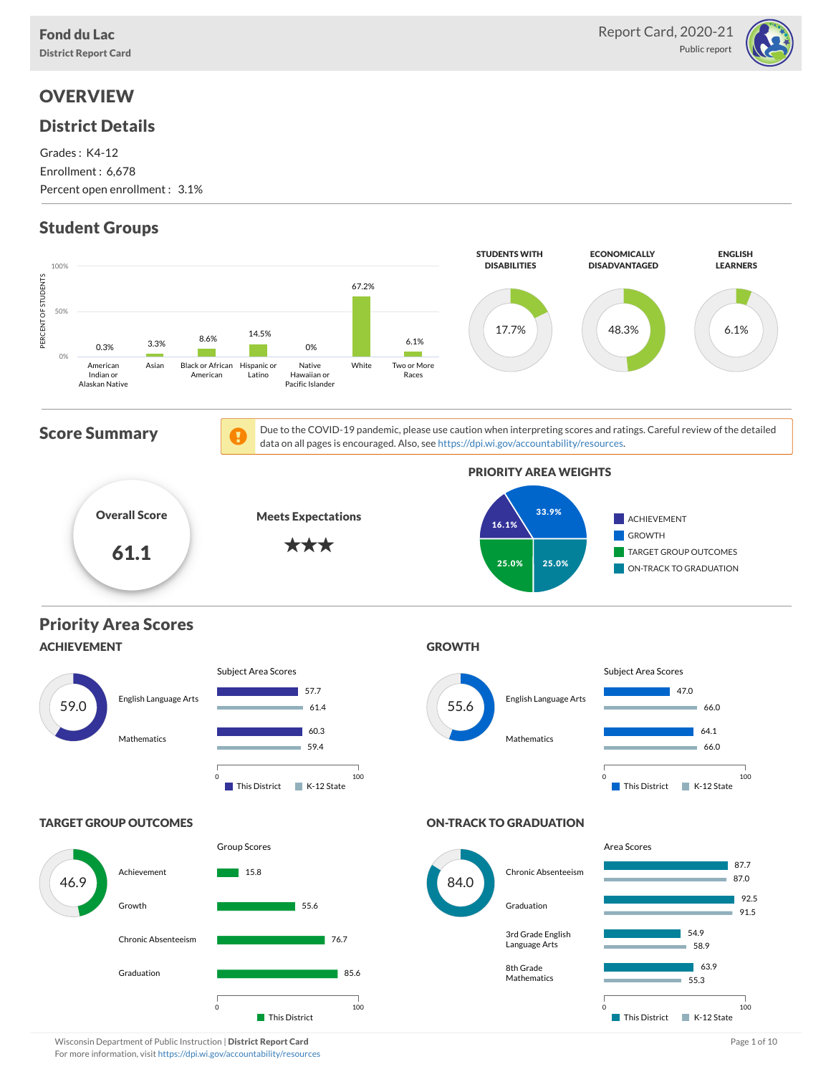

# **OVERVIEW**

# District Details

Grades : K4-12 Enrollment : 6,678 Percent open enrollment : 3.1%

# Student Groups

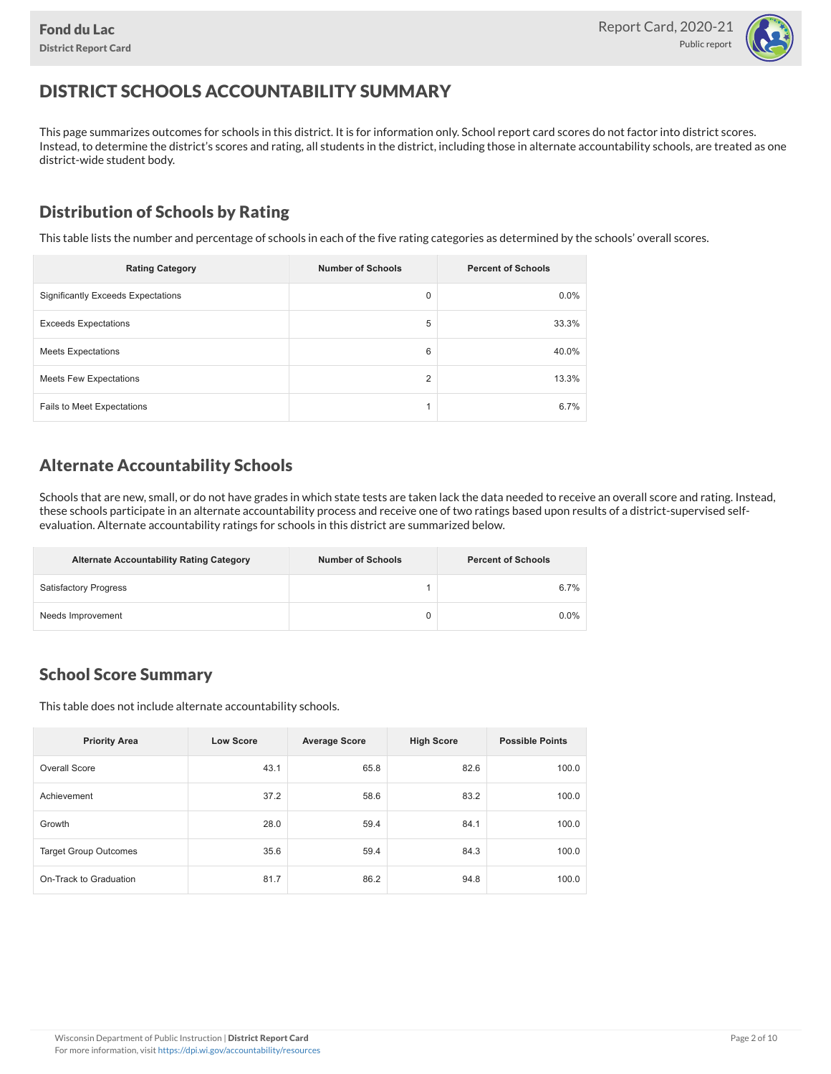

# DISTRICT SCHOOLS ACCOUNTABILITY SUMMARY

This page summarizes outcomes for schools in this district. It is for information only. School report card scores do not factor into district scores. Instead, to determine the district's scores and rating, all students in the district, including those in alternate accountability schools, are treated as one district-wide student body.

### Distribution of Schools by Rating

This table lists the number and percentage of schools in each of the five rating categories as determined by the schools' overall scores.

| <b>Rating Category</b>                    | <b>Number of Schools</b> | <b>Percent of Schools</b> |
|-------------------------------------------|--------------------------|---------------------------|
| <b>Significantly Exceeds Expectations</b> | 0                        | 0.0%                      |
| <b>Exceeds Expectations</b>               | 5                        | 33.3%                     |
| <b>Meets Expectations</b>                 | 6                        | 40.0%                     |
| <b>Meets Few Expectations</b>             | $\overline{2}$           | 13.3%                     |
| Fails to Meet Expectations                |                          | 6.7%                      |

### Alternate Accountability Schools

Schools that are new, small, or do not have grades in which state tests are taken lack the data needed to receive an overall score and rating. Instead, these schools participate in an alternate accountability process and receive one of two ratings based upon results of a district-supervised selfevaluation. Alternate accountability ratings for schools in this district are summarized below.

| <b>Alternate Accountability Rating Category</b> | <b>Number of Schools</b> | <b>Percent of Schools</b> |
|-------------------------------------------------|--------------------------|---------------------------|
| <b>Satisfactory Progress</b>                    |                          | 6.7%                      |
| Needs Improvement                               |                          | $0.0\%$                   |

### School Score Summary

This table does not include alternate accountability schools.

| <b>Priority Area</b>         | <b>Low Score</b> | <b>Average Score</b> | <b>High Score</b> | <b>Possible Points</b> |
|------------------------------|------------------|----------------------|-------------------|------------------------|
| Overall Score                | 43.1             | 65.8                 | 82.6              | 100.0                  |
| Achievement                  | 37.2             | 58.6                 | 83.2              | 100.0                  |
| Growth                       | 28.0             | 59.4                 | 84.1              | 100.0                  |
| <b>Target Group Outcomes</b> | 35.6             | 59.4                 | 84.3              | 100.0                  |
| On-Track to Graduation       | 81.7             | 86.2                 | 94.8              | 100.0                  |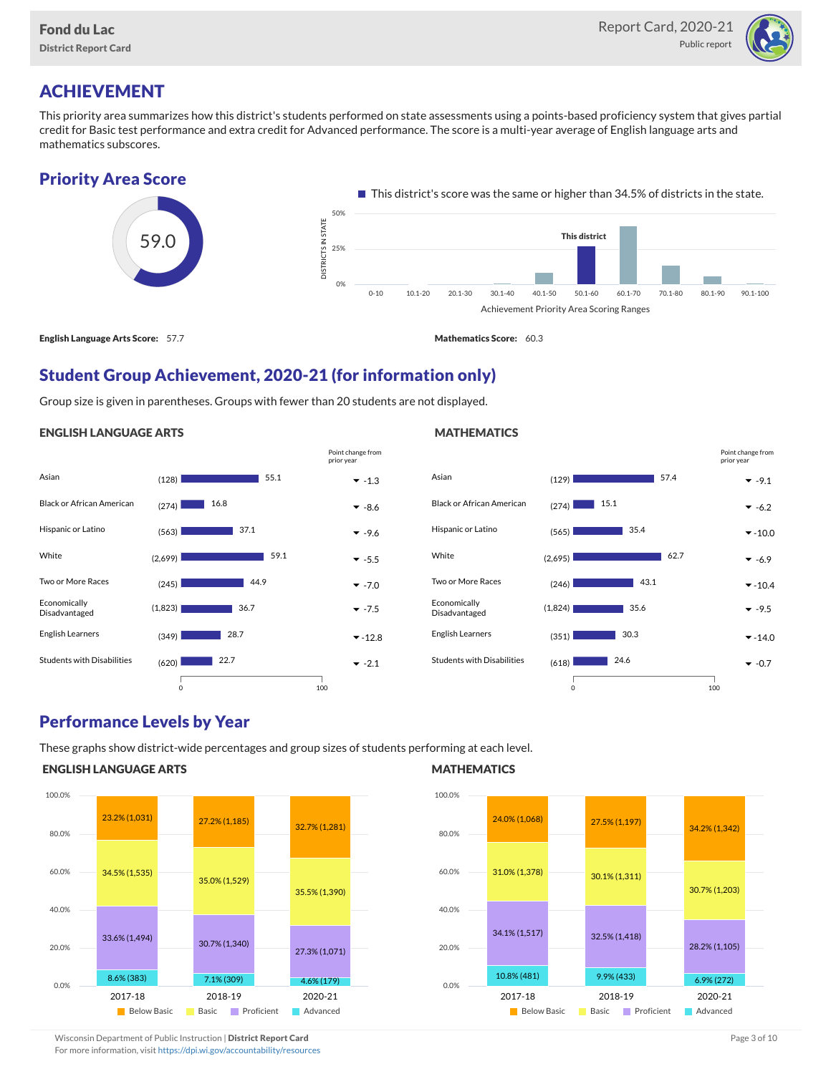

# ACHIEVEMENT

This priority area summarizes how this district's students performed on state assessments using a points-based proficiency system that gives partial credit for Basic test performance and extra credit for Advanced performance. The score is a multi-year average of English language arts and mathematics subscores.

### Priority Area Score



### Student Group Achievement, 2020-21 (for information only)

Group size is given in parentheses. Groups with fewer than 20 students are not displayed.

#### ENGLISH LANGUAGE ARTS

|                                   |         |      | Point change from<br>prior year |
|-----------------------------------|---------|------|---------------------------------|
| Asian                             | (128)   | 55.1 | $-1.3$                          |
| <b>Black or African American</b>  | (274)   | 16.8 | $-8.6$                          |
| Hispanic or Latino                | (563)   | 37.1 | $-9.6$                          |
| White                             | (2,699) | 59.1 | $-5.5$                          |
| Two or More Races                 | (245)   | 44.9 | $-7.0$                          |
| Economically<br>Disadvantaged     | (1,823) | 36.7 | $-7.5$                          |
| English Learners                  | (349)   | 28.7 | $-12.8$                         |
| <b>Students with Disabilities</b> | (620)   | 22.7 | $-2.1$                          |
|                                   |         |      |                                 |

#### Asian (129) -9.1 Black or African American  $_{(274)}$   $\qquad \qquad 15.1$   $\qquad \qquad \bullet$  -6.2 Hispanic or Latino (565) -10.0 35.4 White  $(2,695)$   $62.7$   $\bullet$  -6.9 Two or More Races  $(246)$  **-10.4**  $\rightarrow$  -10.4 Economically Disadvantaged  $(1,824)$  35.6  $\bullet$  -9.5 English Learners  $(351)$  30.3  $\bullet$  -14.0 Students with Disabilities  $(618)$  24.6  $\bullet$  -0.7 57.4  $62.7$ 43.1 35.6 30.3  $124.6$ 0 100 Point change from prior year

### Performance Levels by Year

These graphs show district-wide percentages and group sizes of students performing at each level.

0 100

### ENGLISH LANGUAGE ARTS



### **MATHEMATICS**

**MATHEMATICS** 



Wisconsin Department of Public Instruction | District Report Card Page 3 of 10

### For more information, visit <https://dpi.wi.gov/accountability/resources>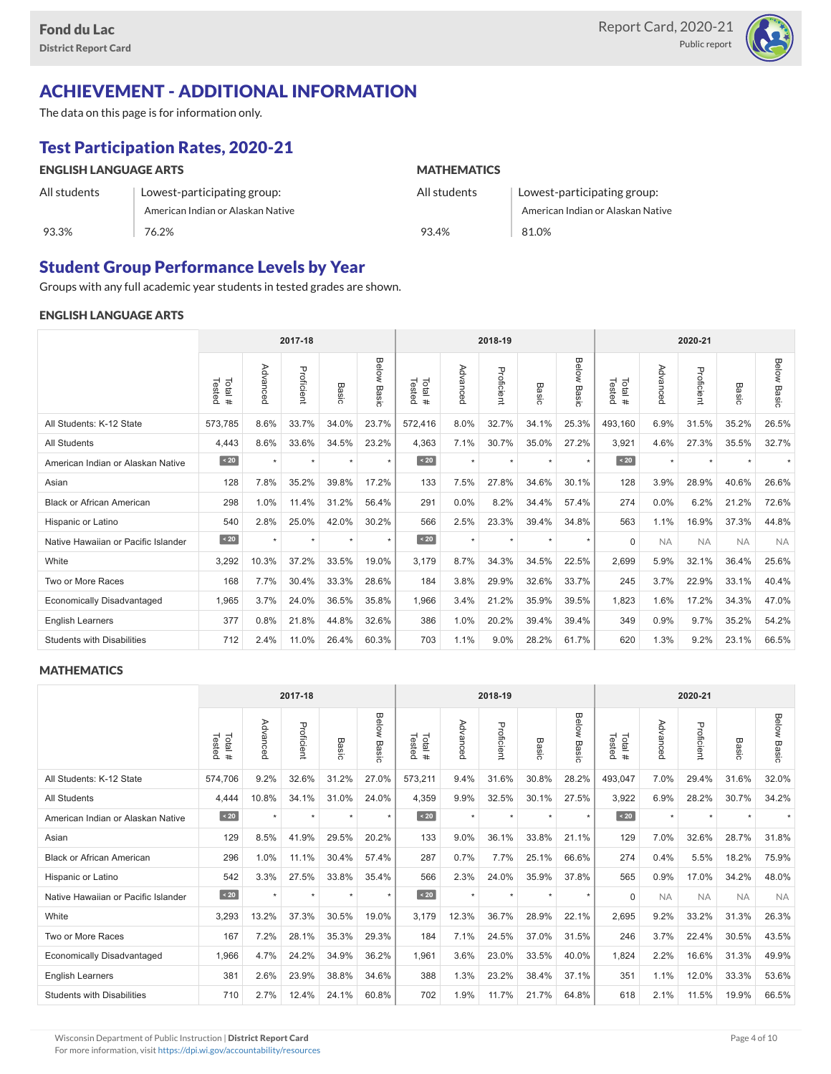

## ACHIEVEMENT - ADDITIONAL INFORMATION

The data on this page is for information only.

# Test Participation Rates, 2020-21

#### ENGLISH LANGUAGE ARTS All students 93.3% Lowest-participating group: American Indian or Alaskan Native 76.2% **MATHEMATICS** All students 93.4% Lowest-participating group: American Indian or Alaskan Native 81.0%

### Student Group Performance Levels by Year

Groups with any full academic year students in tested grades are shown.

#### ENGLISH LANGUAGE ARTS

|                                     |                   | 2017-18  |            |         |                |                  | 2018-19  |            |         |                | 2020-21          |           |            |           |                    |
|-------------------------------------|-------------------|----------|------------|---------|----------------|------------------|----------|------------|---------|----------------|------------------|-----------|------------|-----------|--------------------|
|                                     | Tested<br>Total # | Advanced | Proficient | Basic   | Below<br>Basic | Tested<br>Total# | Advanced | Proficient | Basic   | Below<br>Basic | Tested<br>Total# | Advancec  | Proficient | Basic     | <b>Below Basic</b> |
| All Students: K-12 State            | 573,785           | 8.6%     | 33.7%      | 34.0%   | 23.7%          | 572,416          | 8.0%     | 32.7%      | 34.1%   | 25.3%          | 493,160          | 6.9%      | 31.5%      | 35.2%     | 26.5%              |
| <b>All Students</b>                 | 4,443             | 8.6%     | 33.6%      | 34.5%   | 23.2%          | 4,363            | 7.1%     | 30.7%      | 35.0%   | 27.2%          | 3,921            | 4.6%      | 27.3%      | 35.5%     | 32.7%              |
| American Indian or Alaskan Native   | $\angle 20$       | $\star$  | $\star$    | $\star$ | $\star$        | $\overline{20}$  | $\star$  | $\star$    | $\star$ | $\star$        | $\sim 20$        | $\star$   | $\star$    |           |                    |
| Asian                               | 128               | 7.8%     | 35.2%      | 39.8%   | 17.2%          | 133              | 7.5%     | 27.8%      | 34.6%   | 30.1%          | 128              | 3.9%      | 28.9%      | 40.6%     | 26.6%              |
| <b>Black or African American</b>    | 298               | 1.0%     | 11.4%      | 31.2%   | 56.4%          | 291              | 0.0%     | 8.2%       | 34.4%   | 57.4%          | 274              | 0.0%      | 6.2%       | 21.2%     | 72.6%              |
| Hispanic or Latino                  | 540               | 2.8%     | 25.0%      | 42.0%   | 30.2%          | 566              | 2.5%     | 23.3%      | 39.4%   | 34.8%          | 563              | 1.1%      | 16.9%      | 37.3%     | 44.8%              |
| Native Hawaiian or Pacific Islander | $\angle 20$       | $\star$  | $\star$    | $\star$ | $\star$        | $\sim 20$        | $\star$  | $\star$    | $\star$ | $\star$        | $\Omega$         | <b>NA</b> | <b>NA</b>  | <b>NA</b> | <b>NA</b>          |
| White                               | 3,292             | 10.3%    | 37.2%      | 33.5%   | 19.0%          | 3,179            | 8.7%     | 34.3%      | 34.5%   | 22.5%          | 2,699            | 5.9%      | 32.1%      | 36.4%     | 25.6%              |
| Two or More Races                   | 168               | 7.7%     | 30.4%      | 33.3%   | 28.6%          | 184              | 3.8%     | 29.9%      | 32.6%   | 33.7%          | 245              | 3.7%      | 22.9%      | 33.1%     | 40.4%              |
| <b>Economically Disadvantaged</b>   | 1,965             | 3.7%     | 24.0%      | 36.5%   | 35.8%          | 1,966            | 3.4%     | 21.2%      | 35.9%   | 39.5%          | 1,823            | 1.6%      | 17.2%      | 34.3%     | 47.0%              |
| English Learners                    | 377               | 0.8%     | 21.8%      | 44.8%   | 32.6%          | 386              | 1.0%     | 20.2%      | 39.4%   | 39.4%          | 349              | 0.9%      | 9.7%       | 35.2%     | 54.2%              |
| <b>Students with Disabilities</b>   | 712               | 2.4%     | 11.0%      | 26.4%   | 60.3%          | 703              | 1.1%     | 9.0%       | 28.2%   | 61.7%          | 620              | 1.3%      | 9.2%       | 23.1%     | 66.5%              |

#### **MATHEMATICS**

|                                     | 2017-18           |          |            |         | 2018-19        |                   |          |            | 2020-21    |                       |                  |           |            |           |                    |
|-------------------------------------|-------------------|----------|------------|---------|----------------|-------------------|----------|------------|------------|-----------------------|------------------|-----------|------------|-----------|--------------------|
|                                     | Tested<br>Total # | Advanced | Proficient | Basic   | Below<br>Basic | Total #<br>Tested | Advanced | Proficient | Bas<br>ਨੌਂ | <b>Below</b><br>Basic | Tested<br>Total# | Advanced  | Proficient | Basic     | <b>Below Basic</b> |
| All Students: K-12 State            | 574,706           | 9.2%     | 32.6%      | 31.2%   | 27.0%          | 573,211           | 9.4%     | 31.6%      | 30.8%      | 28.2%                 | 493,047          | 7.0%      | 29.4%      | 31.6%     | 32.0%              |
| <b>All Students</b>                 | 4,444             | 10.8%    | 34.1%      | 31.0%   | 24.0%          | 4,359             | 9.9%     | 32.5%      | 30.1%      | 27.5%                 | 3,922            | 6.9%      | 28.2%      | 30.7%     | 34.2%              |
| American Indian or Alaskan Native   | $\angle 20$       | $\star$  | $\star$    | $\star$ | $\star$        | $\sim 20$         | $\star$  | $\star$    | $\star$    | $\star$               | $\sim 20$        | $\star$   | $\star$    |           |                    |
| Asian                               | 129               | 8.5%     | 41.9%      | 29.5%   | 20.2%          | 133               | 9.0%     | 36.1%      | 33.8%      | 21.1%                 | 129              | 7.0%      | 32.6%      | 28.7%     | 31.8%              |
| <b>Black or African American</b>    | 296               | 1.0%     | 11.1%      | 30.4%   | 57.4%          | 287               | 0.7%     | 7.7%       | 25.1%      | 66.6%                 | 274              | 0.4%      | 5.5%       | 18.2%     | 75.9%              |
| Hispanic or Latino                  | 542               | 3.3%     | 27.5%      | 33.8%   | 35.4%          | 566               | 2.3%     | 24.0%      | 35.9%      | 37.8%                 | 565              | 0.9%      | 17.0%      | 34.2%     | 48.0%              |
| Native Hawaiian or Pacific Islander | $\angle 20$       | $\star$  | $\star$    | $\star$ | $\star$        | $\vert$ < 20      | $\star$  | $\star$    | $\star$    | $\star$               | $\Omega$         | <b>NA</b> | <b>NA</b>  | <b>NA</b> | <b>NA</b>          |
| White                               | 3,293             | 13.2%    | 37.3%      | 30.5%   | 19.0%          | 3,179             | 12.3%    | 36.7%      | 28.9%      | 22.1%                 | 2,695            | 9.2%      | 33.2%      | 31.3%     | 26.3%              |
| Two or More Races                   | 167               | 7.2%     | 28.1%      | 35.3%   | 29.3%          | 184               | 7.1%     | 24.5%      | 37.0%      | 31.5%                 | 246              | 3.7%      | 22.4%      | 30.5%     | 43.5%              |
| <b>Economically Disadvantaged</b>   | 1,966             | 4.7%     | 24.2%      | 34.9%   | 36.2%          | 1,961             | 3.6%     | 23.0%      | 33.5%      | 40.0%                 | 1,824            | 2.2%      | 16.6%      | 31.3%     | 49.9%              |
| English Learners                    | 381               | 2.6%     | 23.9%      | 38.8%   | 34.6%          | 388               | 1.3%     | 23.2%      | 38.4%      | 37.1%                 | 351              | 1.1%      | 12.0%      | 33.3%     | 53.6%              |
| <b>Students with Disabilities</b>   | 710               | 2.7%     | 12.4%      | 24.1%   | 60.8%          | 702               | 1.9%     | 11.7%      | 21.7%      | 64.8%                 | 618              | 2.1%      | 11.5%      | 19.9%     | 66.5%              |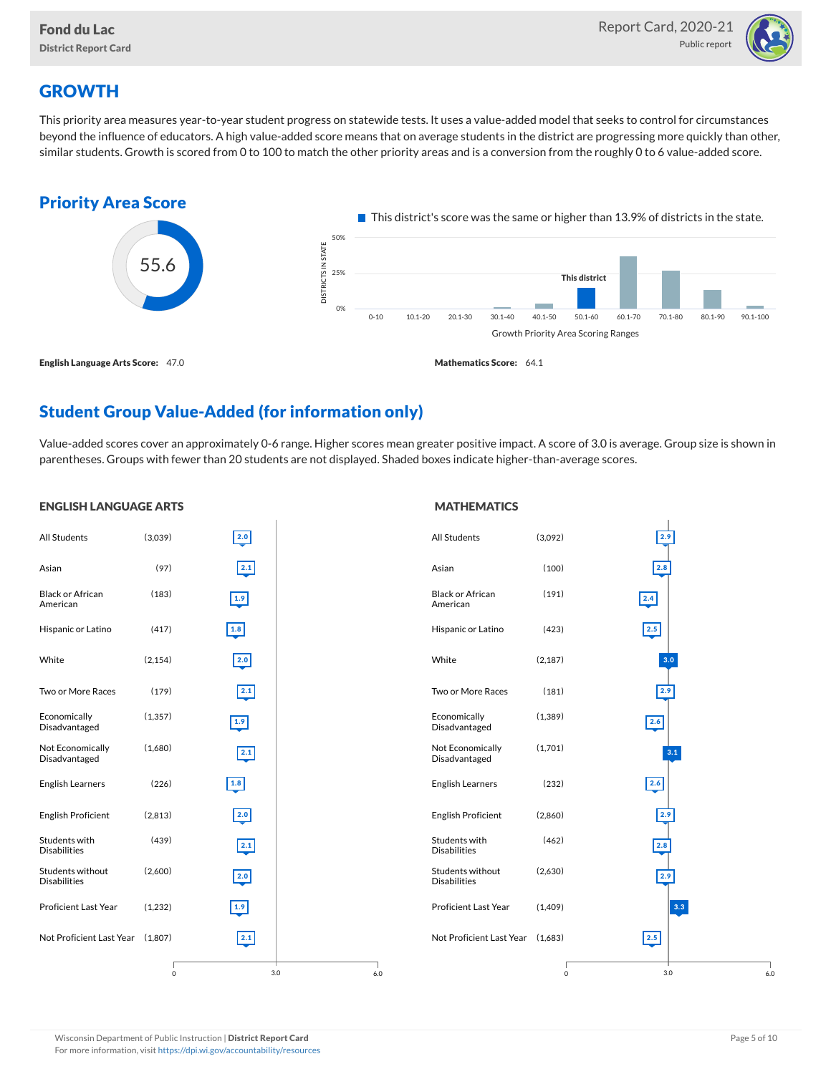

# **GROWTH**

ENGLISH LANGUAGE ARTS

This priority area measures year-to-year student progress on statewide tests. It uses a value-added model that seeks to control for circumstances beyond the influence of educators. A high value-added score means that on average students in the district are progressing more quickly than other, similar students. Growth is scored from 0 to 100 to match the other priority areas and is a conversion from the roughly 0 to 6 value-added score.



# Student Group Value-Added (for information only)

Value-added scores cover an approximately 0-6 range. Higher scores mean greater positive impact. A score of 3.0 is average. Group size is shown in parentheses. Groups with fewer than 20 students are not displayed. Shaded boxes indicate higher-than-average scores.

**MATHEMATICS** 

#### All Students (3,039) Asian (97) Black or African American (183) Hispanic or Latino (417) White (2,154) Two or More Races (179) Economically Disadvantaged (1,357) Not Economically Disadvantaged (1,680) English Learners (226) English Proficient (2,813) Students with Disabilities (439) Students without Disabilities  $(2,600)$ Proficient Last Year (1,232) Not Proficient Last Year (1,807) 3.0 2.0 2.1 1.9 1.8  $\overline{2.0}$ 2.1 1.9 2.1 1.8 2.0 2.1 2.0 1.9 2.1 0 6.0 All Students (3,092) Asian (100) Black or African American (191) Hispanic or Latino (423) White (2,187) Two or More Races (181) Economically Disadvantaged (1,389) Not Economically Disadvantaged (1,701) English Learners (232) English Proficient (2,860) Students with Disabilities (462) Students without Disabilities  $(2,630)$ Proficient Last Year (1,409) Not Proficient Last Year (1,683) 3.0 2.9 2.8 2.4 2.5 3.0 2.9  $\boxed{2.6}$ 3.1 2.6 2.9 2.8 2.9 3.3 2.5 0 6.0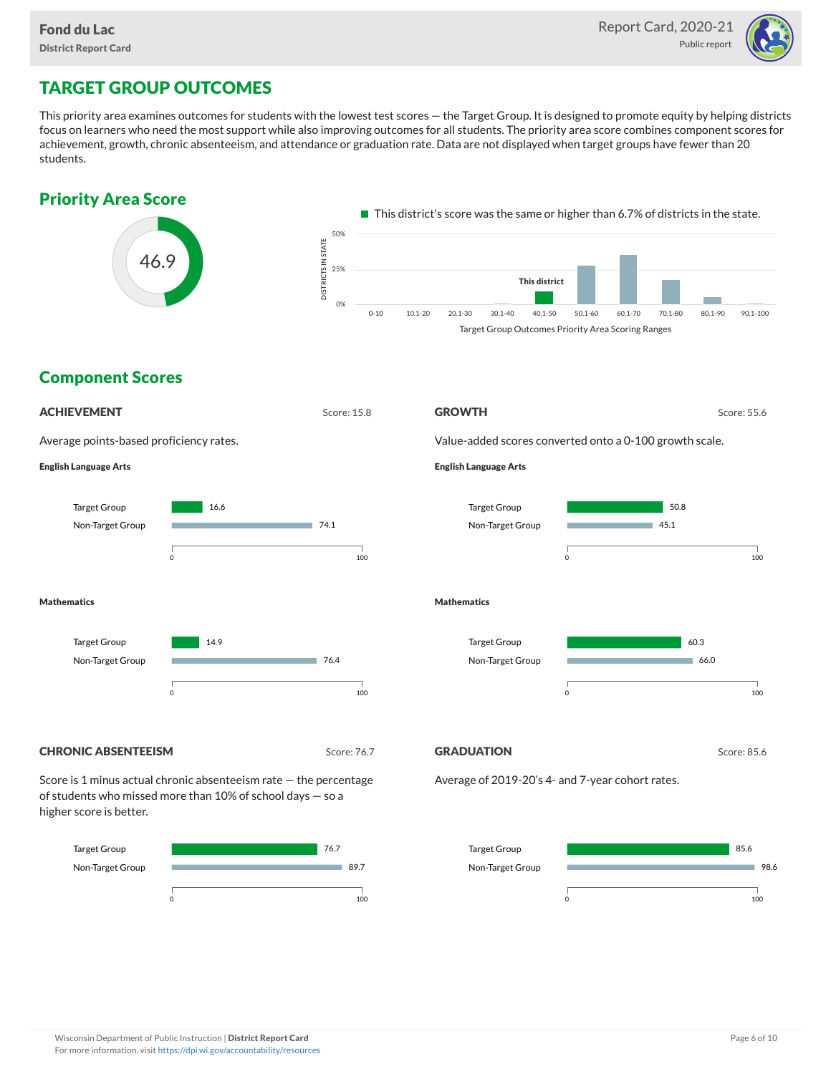

# TARGET GROUP OUTCOMES

This priority area examines outcomes for students with the lowest test scores — the Target Group. It is designed to promote equity by helping districts focus on learners who need the most support while also improving outcomes for all students. The priority area score combines component scores for achievement, growth, chronic absenteeism, and attendance or graduation rate. Data are not displayed when target groups have fewer than 20 students.



0 100

0 100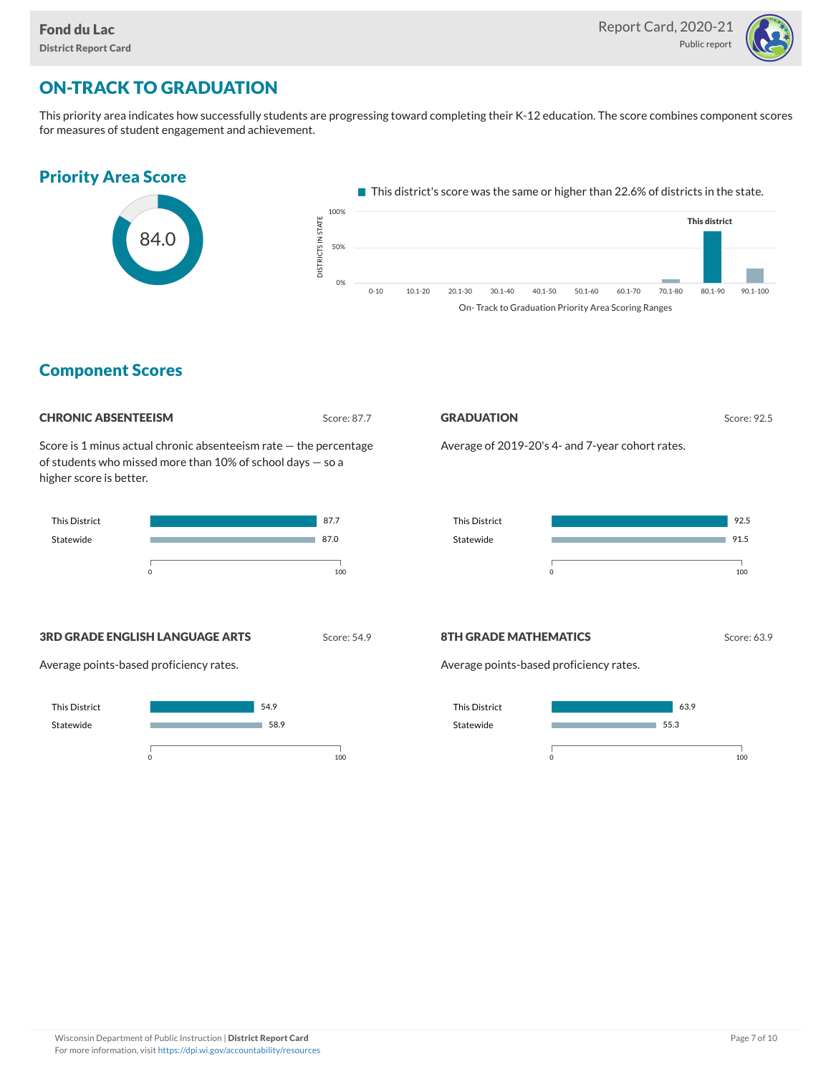

# ON-TRACK TO GRADUATION

This priority area indicates how successfully students are progressing toward completing their K-12 education. The score combines component scores for measures of student engagement and achievement.



### Component Scores

#### **CHRONIC ABSENTEEISM** Score: 87.7 GRADUATION Score: 92.5 Score is 1 minus actual chronic absenteeism rate — the percentage Average of 2019-20's 4- and 7-year cohort rates. of students who missed more than 10% of school days — so a higher score is better. This District 87.7 This District Statewide 87.0 Statewide m.  $\sim$  100  $\sim$  100 **3RD GRADE ENGLISH LANGUAGE ARTS** Score: 54.9 **8TH GRADE MATHEMATICS** Score: 63.9 Average points-based proficiency rates. Average points-based proficiency rates. This District This District 54.9





 $\sim$  100

92.5 91.5

٦

÷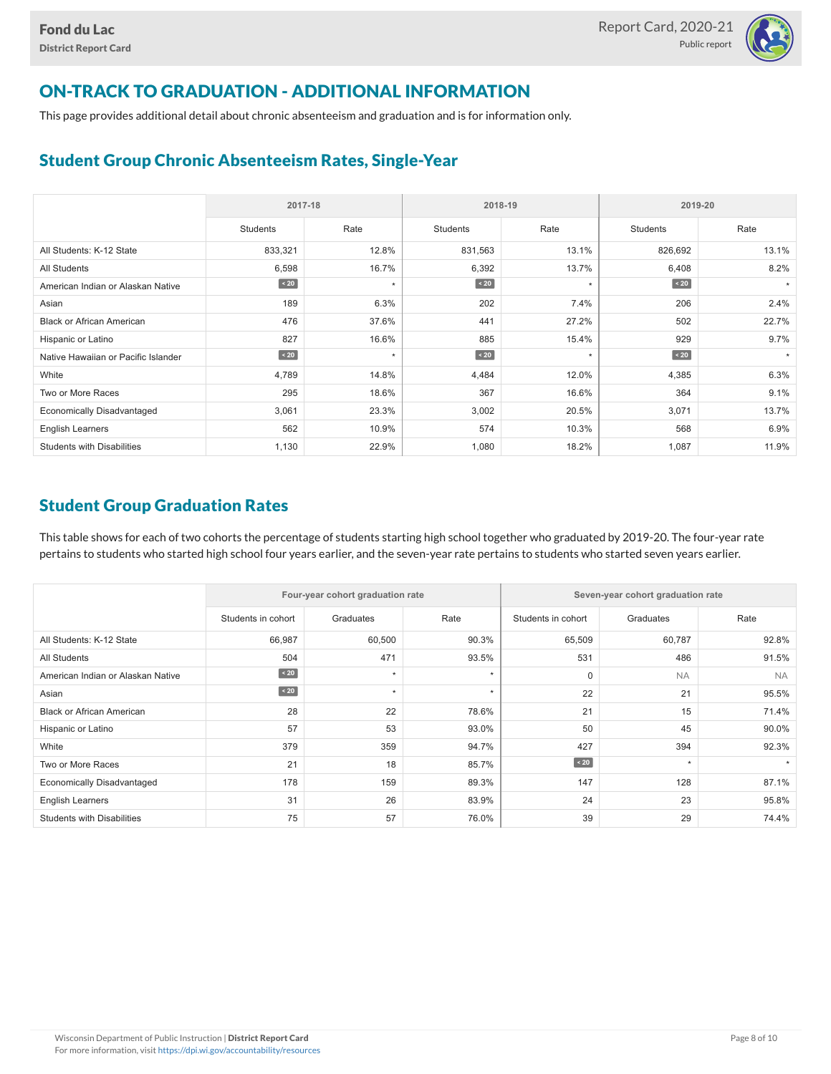

# ON-TRACK TO GRADUATION - ADDITIONAL INFORMATION

This page provides additional detail about chronic absenteeism and graduation and is for information only.

## Student Group Chronic Absenteeism Rates, Single-Year

|                                     | 2017-18   |         |                 | 2018-19 | 2019-20         |         |  |  |
|-------------------------------------|-----------|---------|-----------------|---------|-----------------|---------|--|--|
|                                     | Students  | Rate    | <b>Students</b> | Rate    | <b>Students</b> | Rate    |  |  |
| All Students: K-12 State            | 833,321   | 12.8%   | 831,563         | 13.1%   | 826,692         | 13.1%   |  |  |
| All Students                        | 6,598     | 16.7%   | 6,392           | 13.7%   | 6,408           | 8.2%    |  |  |
| American Indian or Alaskan Native   | $\sim 20$ | $\star$ | $\sim 20$       | $\star$ | $\sim$ 20       |         |  |  |
| Asian                               | 189       | 6.3%    | 202             | 7.4%    | 206             | 2.4%    |  |  |
| <b>Black or African American</b>    | 476       | 37.6%   | 441             | 27.2%   | 502             | 22.7%   |  |  |
| Hispanic or Latino                  | 827       | 16.6%   | 885             | 15.4%   | 929             | 9.7%    |  |  |
| Native Hawaiian or Pacific Islander | $\sim 20$ | $\star$ | $\sim 20$       | $\star$ | $\angle 20$     | $\star$ |  |  |
| White                               | 4,789     | 14.8%   | 4,484           | 12.0%   | 4,385           | 6.3%    |  |  |
| Two or More Races                   | 295       | 18.6%   | 367             | 16.6%   | 364             | 9.1%    |  |  |
| <b>Economically Disadvantaged</b>   | 3,061     | 23.3%   | 3,002           | 20.5%   | 3,071           | 13.7%   |  |  |
| <b>English Learners</b>             | 562       | 10.9%   | 574             | 10.3%   | 568             | 6.9%    |  |  |
| <b>Students with Disabilities</b>   | 1,130     | 22.9%   | 1,080           | 18.2%   | 1,087           | 11.9%   |  |  |

### Student Group Graduation Rates

This table shows for each of two cohorts the percentage of students starting high school together who graduated by 2019-20. The four-year rate pertains to students who started high school four years earlier, and the seven-year rate pertains to students who started seven years earlier.

|                                   |                    | Four-year cohort graduation rate |         | Seven-year cohort graduation rate |           |           |  |  |  |
|-----------------------------------|--------------------|----------------------------------|---------|-----------------------------------|-----------|-----------|--|--|--|
|                                   | Students in cohort | Graduates                        | Rate    | Students in cohort                | Graduates | Rate      |  |  |  |
| All Students: K-12 State          | 66,987             | 60,500                           | 90.3%   | 65,509                            | 60,787    | 92.8%     |  |  |  |
| <b>All Students</b>               | 504                | 471                              | 93.5%   | 531                               | 486       | 91.5%     |  |  |  |
| American Indian or Alaskan Native | $\angle 20$        | $\star$                          | $\star$ | $\mathbf 0$                       | <b>NA</b> | <b>NA</b> |  |  |  |
| Asian                             | $\angle 20$        | $\star$                          | $\star$ | 22                                | 21        | 95.5%     |  |  |  |
| <b>Black or African American</b>  | 28                 | 22                               | 78.6%   | 21                                | 15        | 71.4%     |  |  |  |
| Hispanic or Latino                | 57                 | 53                               | 93.0%   | 50                                | 45        | 90.0%     |  |  |  |
| White                             | 379                | 359                              | 94.7%   | 427                               | 394       | 92.3%     |  |  |  |
| Two or More Races                 | 21                 | 18                               | 85.7%   | $\angle 20$                       | $\star$   |           |  |  |  |
| <b>Economically Disadvantaged</b> | 178                | 159                              | 89.3%   | 147                               | 128       | 87.1%     |  |  |  |
| <b>English Learners</b>           | 31                 | 26                               | 83.9%   | 24                                | 23        | 95.8%     |  |  |  |
| <b>Students with Disabilities</b> | 75                 | 57                               | 76.0%   | 39                                | 29        | 74.4%     |  |  |  |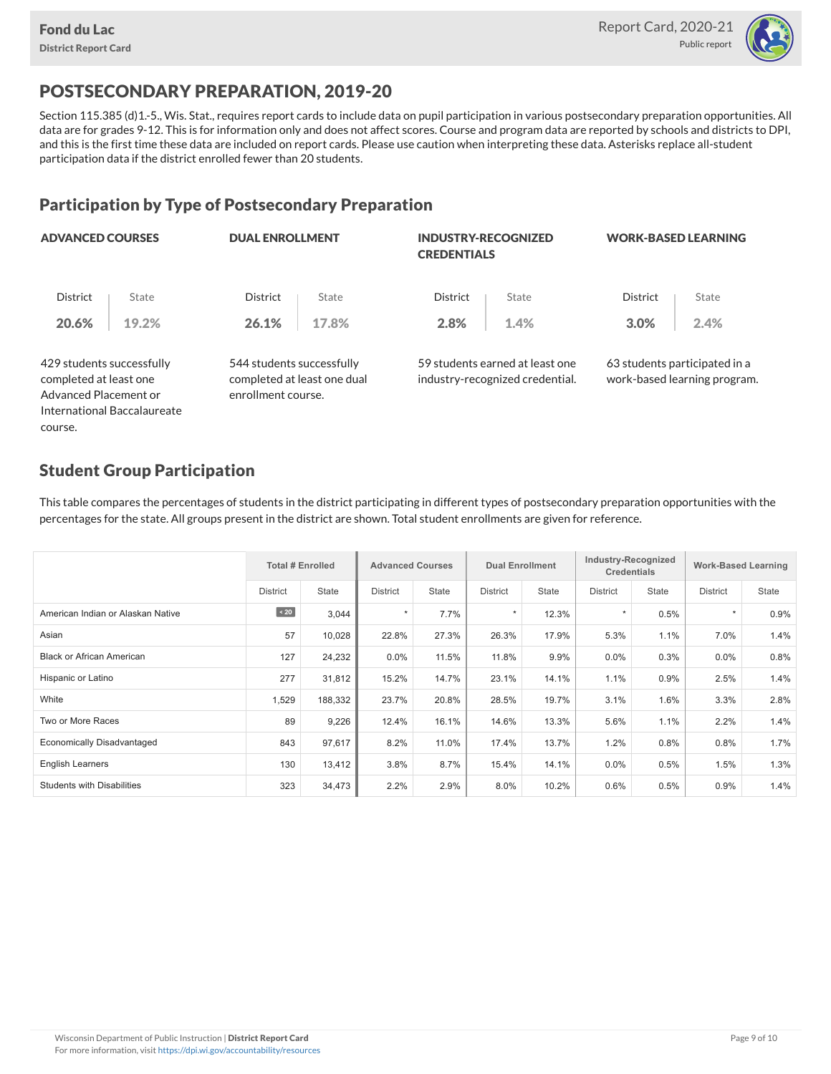

# POSTSECONDARY PREPARATION, 2019-20

Section 115.385 (d)1.-5., Wis. Stat., requires report cards to include data on pupil participation in various postsecondary preparation opportunities. All data are for grades 9-12. This is for information only and does not affect scores. Course and program data are reported by schools and districts to DPI, and this is the first time these data are included on report cards. Please use caution when interpreting these data. Asterisks replace all-student participation data if the district enrolled fewer than 20 students.

## Participation by Type of Postsecondary Preparation

| <b>ADVANCED COURSES</b>                                                      |                             | <b>DUAL ENROLLMENT</b>                                                         |       | <b>INDUSTRY-RECOGNIZED</b><br><b>CREDENTIALS</b> |                                                                    | <b>WORK-BASED LEARNING</b> |                                                               |  |
|------------------------------------------------------------------------------|-----------------------------|--------------------------------------------------------------------------------|-------|--------------------------------------------------|--------------------------------------------------------------------|----------------------------|---------------------------------------------------------------|--|
| <b>District</b>                                                              | State                       | <b>District</b>                                                                | State | <b>District</b>                                  | State                                                              | <b>District</b>            | State                                                         |  |
| 20.6%                                                                        | 19.2%                       | 26.1%                                                                          | 17.8% | 2.8%                                             | 1.4%                                                               | 3.0%                       | 2.4%                                                          |  |
| 429 students successfully<br>completed at least one<br>Advanced Placement or |                             | 544 students successfully<br>completed at least one dual<br>enrollment course. |       |                                                  | 59 students earned at least one<br>industry-recognized credential. |                            | 63 students participated in a<br>work-based learning program. |  |
|                                                                              | International Baccalaureate |                                                                                |       |                                                  |                                                                    |                            |                                                               |  |

### Student Group Participation

course.

This table compares the percentages of students in the district participating in different types of postsecondary preparation opportunities with the percentages for the state. All groups present in the district are shown. Total student enrollments are given for reference.

|                                   | <b>Total # Enrolled</b> |              | <b>Advanced Courses</b> |              |                 | <b>Dual Enrollment</b> |                 | Industry-Recognized<br><b>Credentials</b> |          | <b>Work-Based Learning</b> |  |
|-----------------------------------|-------------------------|--------------|-------------------------|--------------|-----------------|------------------------|-----------------|-------------------------------------------|----------|----------------------------|--|
|                                   | <b>District</b>         | <b>State</b> | <b>District</b>         | <b>State</b> | <b>District</b> | State                  | <b>District</b> | State                                     | District | <b>State</b>               |  |
| American Indian or Alaskan Native | $\sim 20$               | 3,044        | $\star$                 | 7.7%         | $\star$         | 12.3%                  |                 | 0.5%                                      | $\star$  | 0.9%                       |  |
| Asian                             | 57                      | 10,028       | 22.8%                   | 27.3%        | 26.3%           | 17.9%                  | 5.3%            | 1.1%                                      | 7.0%     | 1.4%                       |  |
| <b>Black or African American</b>  | 127                     | 24,232       | 0.0%                    | 11.5%        | 11.8%           | 9.9%                   | 0.0%            | 0.3%                                      | 0.0%     | 0.8%                       |  |
| Hispanic or Latino                | 277                     | 31,812       | 15.2%                   | 14.7%        | 23.1%           | 14.1%                  | 1.1%            | 0.9%                                      | 2.5%     | 1.4%                       |  |
| White                             | 1,529                   | 188,332      | 23.7%                   | 20.8%        | 28.5%           | 19.7%                  | 3.1%            | 1.6%                                      | 3.3%     | 2.8%                       |  |
| Two or More Races                 | 89                      | 9,226        | 12.4%                   | 16.1%        | 14.6%           | 13.3%                  | 5.6%            | 1.1%                                      | 2.2%     | 1.4%                       |  |
| <b>Economically Disadvantaged</b> | 843                     | 97,617       | 8.2%                    | 11.0%        | 17.4%           | 13.7%                  | 1.2%            | 0.8%                                      | 0.8%     | 1.7%                       |  |
| <b>English Learners</b>           | 130                     | 13,412       | 3.8%                    | 8.7%         | 15.4%           | 14.1%                  | $0.0\%$         | 0.5%                                      | 1.5%     | 1.3%                       |  |
| <b>Students with Disabilities</b> | 323                     | 34,473       | 2.2%                    | 2.9%         | 8.0%            | 10.2%                  | 0.6%            | 0.5%                                      | 0.9%     | 1.4%                       |  |